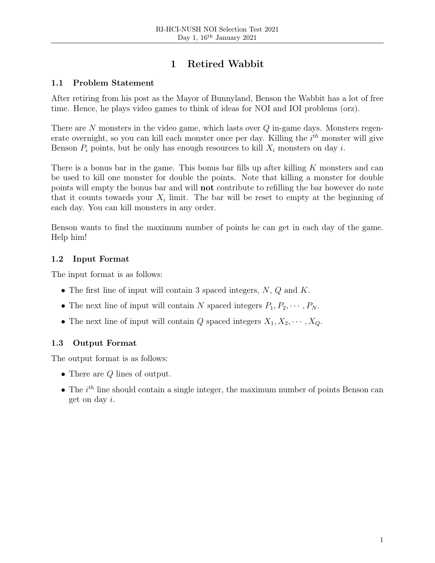# 1 Retired Wabbit

# 1.1 Problem Statement

After retiring from his post as the Mayor of Bunnyland, Benson the Wabbit has a lot of free time. Hence, he plays video games to think of ideas for NOI and IOI problems (orz).

There are  $N$  monsters in the video game, which lasts over  $Q$  in-game days. Monsters regenerate overnight, so you can kill each monster once per day. Killing the  $i^{th}$  monster will give Benson  $P_i$  points, but he only has enough resources to kill  $X_i$  monsters on day i.

There is a bonus bar in the game. This bonus bar fills up after killing  $K$  monsters and can be used to kill one monster for double the points. Note that killing a monster for double points will empty the bonus bar and will not contribute to refilling the bar however do note that it counts towards your  $X_i$  limit. The bar will be reset to empty at the beginning of each day. You can kill monsters in any order.

Benson wants to find the maximum number of points he can get in each day of the game. Help him!

# 1.2 Input Format

The input format is as follows:

- The first line of input will contain 3 spaced integers,  $N$ ,  $Q$  and  $K$ .
- The next line of input will contain N spaced integers  $P_1, P_2, \cdots, P_N$ .
- The next line of input will contain Q spaced integers  $X_1, X_2, \cdots, X_Q$ .

# 1.3 Output Format

The output format is as follows:

- There are  $Q$  lines of output.
- The  $i^{th}$  line should contain a single integer, the maximum number of points Benson can get on day i.